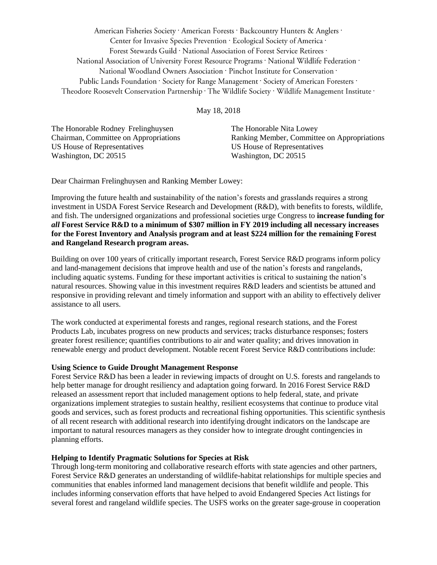American Fisheries Society · American Forests · Backcountry Hunters & Anglers · Center for Invasive Species Prevention · Ecological Society of America · Forest Stewards Guild · National Association of Forest Service Retirees · National Association of University Forest Resource Programs · National Wildlife Federation · National Woodland Owners Association · Pinchot Institute for Conservation · Public Lands Foundation · Society for Range Management · Society of American Foresters · Theodore Roosevelt Conservation Partnership · The Wildlife Society · Wildlife Management Institute ·

May 18, 2018

The Honorable Rodney Frelinghuysen The Honorable Nita Lowey US House of Representatives US House of Representatives Washington, DC 20515 Washington, DC 20515

Chairman, Committee on Appropriations Ranking Member, Committee on Appropriations

Dear Chairman Frelinghuysen and Ranking Member Lowey:

Improving the future health and sustainability of the nation's forests and grasslands requires a strong investment in USDA Forest Service Research and Development (R&D), with benefits to forests, wildlife, and fish. The undersigned organizations and professional societies urge Congress to **increase funding for**  *all* **Forest Service R&D to a minimum of \$307 million in FY 2019 including all necessary increases for the Forest Inventory and Analysis program and at least \$224 million for the remaining Forest and Rangeland Research program areas.**

Building on over 100 years of critically important research, Forest Service R&D programs inform policy and land-management decisions that improve health and use of the nation's forests and rangelands, including aquatic systems. Funding for these important activities is critical to sustaining the nation's natural resources. Showing value in this investment requires R&D leaders and scientists be attuned and responsive in providing relevant and timely information and support with an ability to effectively deliver assistance to all users.

The work conducted at experimental forests and ranges, regional research stations, and the Forest Products Lab, incubates progress on new products and services; tracks disturbance responses; fosters greater forest resilience; quantifies contributions to air and water quality; and drives innovation in renewable energy and product development. Notable recent Forest Service R&D contributions include:

# **Using Science to Guide Drought Management Response**

Forest Service R&D has been a leader in reviewing impacts of drought on U.S. forests and rangelands to help better manage for drought resiliency and adaptation going forward. In 2016 Forest Service R&D released an assessment report that included management options to help federal, state, and private organizations implement strategies to sustain healthy, resilient ecosystems that continue to produce vital goods and services, such as forest products and recreational fishing opportunities. This scientific synthesis of all recent research with additional research into identifying drought indicators on the landscape are important to natural resources managers as they consider how to integrate drought contingencies in planning efforts.

# **Helping to Identify Pragmatic Solutions for Species at Risk**

Through long-term monitoring and collaborative research efforts with state agencies and other partners, Forest Service R&D generates an understanding of wildlife-habitat relationships for multiple species and communities that enables informed land management decisions that benefit wildlife and people. This includes informing conservation efforts that have helped to avoid Endangered Species Act listings for several forest and rangeland wildlife species. The USFS works on the greater sage-grouse in cooperation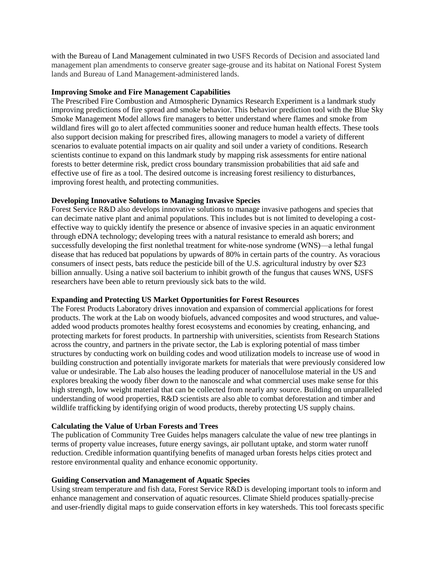with the Bureau of Land Management culminated in two USFS Records of Decision and associated land management plan amendments to conserve greater sage-grouse and its habitat on National Forest System lands and Bureau of Land Management-administered lands.

# **Improving Smoke and Fire Management Capabilities**

The Prescribed Fire Combustion and Atmospheric Dynamics Research Experiment is a landmark study improving predictions of fire spread and smoke behavior. This behavior prediction tool with the Blue Sky Smoke Management Model allows fire managers to better understand where flames and smoke from wildland fires will go to alert affected communities sooner and reduce human health effects. These tools also support decision making for prescribed fires, allowing managers to model a variety of different scenarios to evaluate potential impacts on air quality and soil under a variety of conditions. Research scientists continue to expand on this landmark study by mapping risk assessments for entire national forests to better determine risk, predict cross boundary transmission probabilities that aid safe and effective use of fire as a tool. The desired outcome is increasing forest resiliency to disturbances, improving forest health, and protecting communities.

# **Developing Innovative Solutions to Managing Invasive Species**

Forest Service R&D also develops innovative solutions to manage invasive pathogens and species that can decimate native plant and animal populations. This includes but is not limited to developing a costeffective way to quickly identify the presence or absence of invasive species in an aquatic environment through eDNA technology; developing trees with a natural resistance to emerald ash borers; and successfully developing the first nonlethal treatment for white-nose syndrome (WNS)—a lethal fungal disease that has reduced bat populations by upwards of 80% in certain parts of the country. As voracious consumers of insect pests, bats reduce the pesticide bill of the U.S. agricultural industry by over \$23 billion annually. Using a native soil bacterium to inhibit growth of the fungus that causes WNS, USFS researchers have been able to return previously sick bats to the wild.

#### **Expanding and Protecting US Market Opportunities for Forest Resources**

The Forest Products Laboratory drives innovation and expansion of commercial applications for forest products. The work at the Lab on woody biofuels, advanced composites and wood structures, and valueadded wood products promotes healthy forest ecosystems and economies by creating, enhancing, and protecting markets for forest products. In partnership with universities, scientists from Research Stations across the country, and partners in the private sector, the Lab is exploring potential of mass timber structures by conducting work on building codes and wood utilization models to increase use of wood in building construction and potentially invigorate markets for materials that were previously considered low value or undesirable. The Lab also houses the leading producer of nanocellulose material in the US and explores breaking the woody fiber down to the nanoscale and what commercial uses make sense for this high strength, low weight material that can be collected from nearly any source. Building on unparalleled understanding of wood properties, R&D scientists are also able to combat deforestation and timber and wildlife trafficking by identifying origin of wood products, thereby protecting US supply chains.

#### **Calculating the Value of Urban Forests and Trees**

The publication of Community Tree Guides helps managers calculate the value of new tree plantings in terms of property value increases, future energy savings, air pollutant uptake, and storm water runoff reduction. Credible information quantifying benefits of managed urban forests helps cities protect and restore environmental quality and enhance economic opportunity.

#### **Guiding Conservation and Management of Aquatic Species**

Using stream temperature and fish data, Forest Service R&D is developing important tools to inform and enhance management and conservation of aquatic resources. Climate Shield produces spatially-precise and user-friendly digital maps to guide conservation efforts in key watersheds. This tool forecasts specific